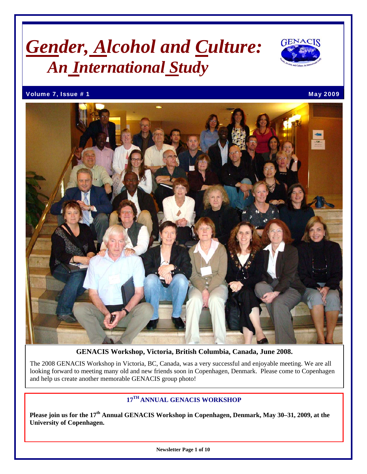# *Gender, Alcohol and Culture: An International Study*



Volume 7, Issue # 1 May 2009 12:00 May 2009



**GENACIS Workshop, Victoria, British Columbia, Canada, June 2008.** 

The 2008 GENACIS Workshop in Victoria, BC, Canada, was a very successful and enjoyable meeting. We are all looking forward to meeting many old and new friends soon in Copenhagen, Denmark. Please come to Copenhagen and help us create another memorable GENACIS group photo!

# **17TH ANNUAL GENACIS WORKSHOP**

**Please join us for the 17th Annual GENACIS Workshop in Copenhagen, Denmark, May 30–31, 2009, at the University of Copenhagen.**

**Newsletter Page 1 of 10**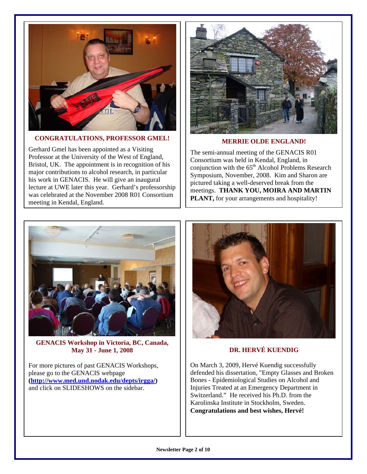

### **CONGRATULATIONS, PROFESSOR GMEL!**

Gerhard Gmel has been appointed as a Visiting Professor at the University of the West of England, Bristol, UK. The appointment is in recognition of his major contributions to alcohol research, in particular his work in GENACIS. He will give an inaugural lecture at UWE later this year. Gerhard's professorship was celebrated at the November 2008 R01 Consortium meeting in Kendal, England.



**MERRIE OLDE ENGLAND!** 

The semi-annual meeting of the GENACIS R01 Consortium was held in Kendal, England, in conjunction with the  $65<sup>th</sup>$  Alcohol Problems Research Symposium, November, 2008. Kim and Sharon are pictured taking a well-deserved break from the meetings. **THANK YOU, MOIRA AND MARTIN PLANT,** for your arrangements and hospitality!



**GENACIS Workshop in Victoria, BC, Canada, May 31 - June 1, 2008**

For more pictures of past GENACIS Workshops, please go to the GENACIS webpage **[\(http://www.med.und.nodak.edu/depts/irgga/](http://www.med.und.nodak.edu/depts/irgga/))**  and click on SLIDESHOWS on the sidebar.



### **DR. HERVÉ KUENDIG**

On March 3, 2009, Hervé Kuendig successfully defended his dissertation, "Empty Glasses and Broken Bones - Epidemiological Studies on Alcohol and Injuries Treated at an Emergency Department in Switzerland." He received his Ph.D. from the Karolinska Institute in Stockholm, Sweden. **Congratulations and best wishes, Hervé!**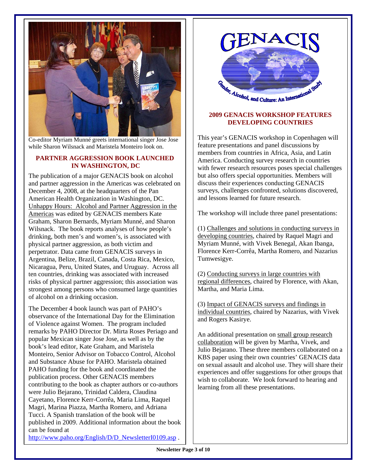

Co-editor Myriam Munné greets international singer Jose Jose while Sharon Wilsnack and Maristela Monteiro look on.

#### **PARTNER AGGRESSION BOOK LAUNCHED IN WASHINGTON, DC**

The publication of a major GENACIS book on alcohol and partner aggression in the Americas was celebrated on December 4, 2008, at the headquarters of the Pan American Health Organization in Washington, DC. Unhappy Hours: Alcohol and Partner Aggression in the Americas was edited by GENACIS members Kate Graham, Sharon Bernards, Myriam Munné, and Sharon Wilsnack. The book reports analyses of how people's drinking, both men's and women's, is associated with physical partner aggression, as both victim and perpetrator. Data came from GENACIS surveys in Argentina, Belize, Brazil, Canada, Costa Rica, Mexico, Nicaragua, Peru, United States, and Uruguay. Across all ten countries, drinking was associated with increased risks of physical partner aggression; this association was strongest among persons who consumed large quantities of alcohol on a drinking occasion.

The December 4 book launch was part of PAHO's observance of the International Day for the Elimination of Violence against Women. The program included remarks by PAHO Director Dr. Mirta Roses Periago and popular Mexican singer Jose Jose, as well as by the book's lead editor, Kate Graham, and Maristela Monteiro, Senior Advisor on Tobacco Control, Alcohol and Substance Abuse for PAHO. Maristela obtained PAHO funding for the book and coordinated the publication process. Other GENACIS members contributing to the book as chapter authors or co-authors were Julio Bejarano, Trinidad Caldera, Claudina Cayetano, Florence Kerr-Corrêa, Maria Lima, Raquel Magri, Marina Piazza, Martha Romero, and Adriana Tucci. A Spanish translation of the book will be published in 2009. Additional information about the book can be found at [http://www.paho.org/English/D/D\\_NewsletterI0109.asp](http://www.paho.org/English/D/D_NewsletterI0109.asp) .

Conder, Alcohol, and Culture: An International

#### **2009 GENACIS WORKSHOP FEATURES DEVELOPING COUNTRIES**

This year's GENACIS workshop in Copenhagen will feature presentations and panel discussions by members from countries in Africa, Asia, and Latin America. Conducting survey research in countries with fewer research resources poses special challenges but also offers special opportunities. Members will discuss their experiences conducting GENACIS surveys, challenges confronted, solutions discovered, and lessons learned for future research.

The workshop will include three panel presentations:

(1) Challenges and solutions in conducting surveys in developing countries, chaired by Raquel Magri and Myriam Munné, with Vivek Benegal, Akan Ibanga, Florence Kerr-Corrêa, Martha Romero, and Nazarius Tumwesigye.

(2) Conducting surveys in large countries with regional differences, chaired by Florence, with Akan, Martha, and Maria Lima.

(3) Impact of GENACIS surveys and findings in individual countries, chaired by Nazarius, with Vivek and Rogers Kasirye.

An additional presentation on small group research collaboration will be given by Martha, Vivek, and Julio Bejarano. These three members collaborated on a KBS paper using their own countries' GENACIS data on sexual assault and alcohol use. They will share their experiences and offer suggestions for other groups that wish to collaborate. We look forward to hearing and learning from all these presentations.

**Newsletter Page 3 of 10**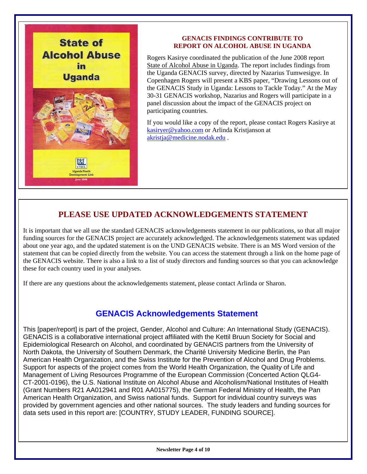

#### **GENACIS FINDINGS CONTRIBUTE TO REPORT ON ALCOHOL ABUSE IN UGANDA**

Rogers Kasirye coordinated the publication of the June 2008 report State of Alcohol Abuse in Uganda. The report includes findings from the Uganda GENACIS survey, directed by Nazarius Tumwesigye. In Copenhagen Rogers will present a KBS paper, "Drawing Lessons out of the GENACIS Study in Uganda: Lessons to Tackle Today." At the May 30-31 GENACIS workshop, Nazarius and Rogers will participate in a panel discussion about the impact of the GENACIS project on participating countries.

If you would like a copy of the report, please contact Rogers Kasirye at [kasiryer@yahoo.com](mailto:kasiryer@yahoo.com) or Arlinda Kristjanson at [akristja@medicine.nodak.edu](mailto:akristja@medicine.nodak.edu) .

# **PLEASE USE UPDATED ACKNOWLEDGEMENTS STATEMENT**

It is important that we all use the standard GENACIS acknowledgements statement in our publications, so that all major funding sources for the GENACIS project are accurately acknowledged. The acknowledgements statement was updated about one year ago, and the updated statement is on the UND GENACIS website. There is an MS Word version of the statement that can be copied directly from the website. You can access the statement through a link on the home page of the GENACIS website. There is also a link to a list of study directors and funding sources so that you can acknowledge these for each country used in your analyses.

If there are any questions about the acknowledgements statement, please contact Arlinda or Sharon.

# **GENACIS Acknowledgements Statement**

This [paper/report] is part of the project, Gender, Alcohol and Culture: An International Study (GENACIS). GENACIS is a collaborative international project affiliated with the Kettil Bruun Society for Social and Epidemiological Research on Alcohol, and coordinated by GENACIS partners from the University of North Dakota, the University of Southern Denmark, the Charité University Medicine Berlin, the Pan American Health Organization, and the Swiss Institute for the Prevention of Alcohol and Drug Problems. Support for aspects of the project comes from the World Health Organization, the Quality of Life and Management of Living Resources Programme of the European Commission (Concerted Action QLG4- CT-2001-0196), the U.S. National Institute on Alcohol Abuse and Alcoholism/National Institutes of Health (Grant Numbers R21 AA012941 and R01 AA015775), the German Federal Ministry of Health, the Pan American Health Organization, and Swiss national funds. Support for individual country surveys was provided by government agencies and other national sources. The study leaders and funding sources for data sets used in this report are: [COUNTRY, STUDY LEADER, FUNDING SOURCE].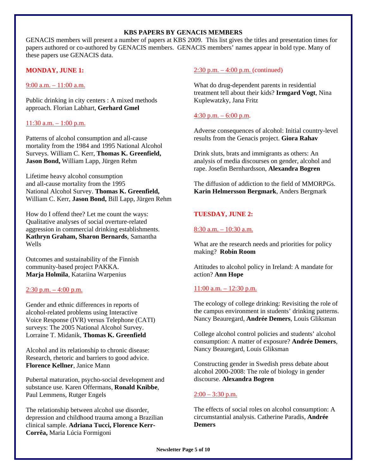#### **KBS PAPERS BY GENACIS MEMBERS**

GENACIS members will present a number of papers at KBS 2009. This list gives the titles and presentation times for papers authored or co-authored by GENACIS members. GENACIS members' names appear in bold type. Many of these papers use GENACIS data.

#### **MONDAY, JUNE 1:**

9:00 a.m. – 11:00 a.m.

Public drinking in city centers : A mixed methods approach. Florian Labhart, **Gerhard Gmel**

#### $11:30$  a.m.  $-1:00$  p.m.

I

Patterns of alcohol consumption and all-cause mortality from the 1984 and 1995 National Alcohol Surveys. William C. Kerr, **Thomas K. Greenfield, Jason Bond,** William Lapp, Jürgen Rehm

Lifetime heavy alcohol consumption and all-cause mortality from the 1995 National Alcohol Survey. **Thomas K. Greenfield,**  William C. Kerr, **Jason Bond,** Bill Lapp, Jürgen Rehm

How do I offend thee? Let me count the ways: Qualitative analyses of social overture-related aggression in commercial drinking establishments. **Kathryn Graham, Sharon Bernards**, Samantha Wells

Outcomes and sustainability of the Finnish community-based project PAKKA. **Marja Holmila**, Katariina Warpenius

#### $2:30$  p.m.  $-4:00$  p.m.

Gender and ethnic differences in reports of alcohol-related problems using Interactive Voice Response (IVR) versus Telephone (CATI) surveys: The 2005 National Alcohol Survey. Lorraine T. Midanik, **Thomas K. Greenfield** 

Alcohol and its relationship to chronic disease: Research, rhetoric and barriers to good advice. **Florence Kellner**, Janice Mann

Pubertal maturation, psycho-social development and substance use. Karen Offermans, **Ronald Knibbe**, Paul Lemmens, Rutger Engels

The relationship between alcohol use disorder, depression and childhood trauma among a Brazilian clinical sample. **Adriana Tucci, Florence Kerr-Corrêa,** Maria Lúcia Formigoni

#### 2:30 p.m. – 4:00 p.m. (continued)

What do drug-dependent parents in residential treatment tell about their kids? **Irmgard Vogt**, Nina Kuplewatzky, Jana Fritz

#### 4:30 p.m. – 6:00 p.m.

Adverse consequences of alcohol: Initial country-level results from the Genacis project. **Giora Rahav** 

Drink sluts, brats and immigrants as others: An analysis of media discourses on gender, alcohol and rape. Josefin Bernhardsson, **Alexandra Bogren** 

The diffusion of addiction to the field of MMORPGs. **Karin Helmersson Bergmark**, Anders Bergmark

#### **TUESDAY, JUNE 2:**

#### 8:30 a.m. – 10:30 a.m.

What are the research needs and priorities for policy making? **Robin Room**

Attitudes to alcohol policy in Ireland: A mandate for action? **Ann Hope**

#### $11:00$  a.m.  $-12:30$  p.m.

The ecology of college drinking: Revisiting the role of the campus environment in students' drinking patterns. Nancy Beauregard, **Andrée Demers**, Louis Gliksman

College alcohol control policies and students' alcohol consumption: A matter of exposure? **Andrée Demers**, Nancy Beauregard, Louis Gliksman

Constructing gender in Swedish press debate about alcohol 2000-2008: The role of biology in gender discourse. **Alexandra Bogren** 

#### $2:00 - 3:30$  p.m.

The effects of social roles on alcohol consumption: A circumstantial analysis. Catherine Paradis, **Andrée Demers**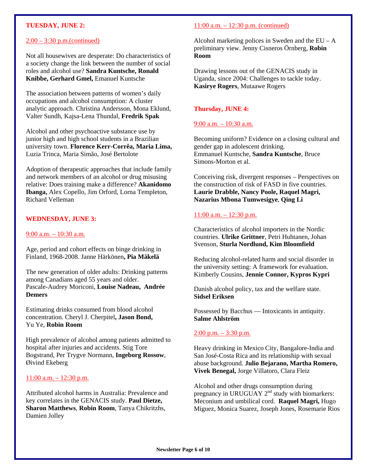#### **TUESDAY, JUNE 2:**

#### 2:00 – 3:30 p.m.(continued)

Not all housewives are desperate: Do characteristics of a society change the link between the number of social roles and alcohol use? **Sandra Kuntsche, Ronald Knibbe, Gerhard Gmel,** Emanuel Kuntsche

The association between patterns of women's daily occupations and alcohol consumption: A cluster analytic approach. Christina Andersson, Mona Eklund, Valter Sundh, Kajsa-Lena Thundal, **Fredrik Spak** 

Alcohol and other psychoactive substance use by junior high and high school students in a Brazilian university town. **Florence Kerr-Corrêa, Maria Lima,** Luzia Trinca, Maria Simão, José Bertolote

Adoption of therapeutic approaches that include family and network members of an alcohol or drug misusing relative: Does training make a difference? **Akanidomo Ibanga,** Alex Copello, Jim Orford, Lorna Templeton, Richard Velleman

#### **WEDNESDAY, JUNE 3:**

#### 9:00 a.m. – 10:30 a.m.

Age, period and cohort effects on binge drinking in Finland, 1968-2008. Janne Härkönen**, Pia Mäkelä** 

The new generation of older adults: Drinking patterns among Canadians aged 55 years and older. Pascale-Audrey Moriconi, **Louise Nadeau, Andrée Demers** 

Estimating drinks consumed from blood alcohol concentration. Cheryl J. Cherpitel**, Jason Bond,**  Yu Ye, **Robin Room** 

High prevalence of alcohol among patients admitted to hospital after injuries and accidents. Stig Tore Bogstrand, Per Trygve Normann, **Ingeborg Rossow**, Øivind Ekeberg

#### $11:00$  a.m.  $-12:30$  p.m.

Attributed alcohol harms in Australia: Prevalence and key correlates in the GENACIS study. **Paul Dietze, Sharon Matthews**, **Robin Room**, Tanya Chikritzhs, Damien Jolley

### 11:00 a.m. – 12:30 p.m. (continued)

Alcohol marketing polices in Sweden and the  $EU - A$ preliminary view. Jenny Cisneros Örnberg, **Robin Room** 

Drawing lessons out of the GENACIS study in Uganda, since 2004: Challenges to tackle today. **Kasirye Rogers**, Mutaawe Rogers

#### **Thursday, JUNE 4:**

#### 9:00 a.m. – 10:30 a.m.

Becoming uniform? Evidence on a closing cultural and gender gap in adolescent drinking. Emmanuel Kuntsche, **Sandra Kuntsche**, Bruce Simons-Morton et al.

Conceiving risk, divergent responses – Perspectives on the construction of risk of FASD in five countries. **Laurie Drabble, Nancy Poole, Raquel Magri, Nazarius Mbona Tumwesigye**, **Qing Li** 

#### $11:00$  a.m.  $-12:30$  p.m.

Characteristics of alcohol importers in the Nordic countries. **Ulrike Grittner**, Petri Huhtanen, Johan Svenson, **Sturla Nordlund, Kim Bloomfield** 

Reducing alcohol-related harm and social disorder in the university setting: A framework for evaluation. Kimberly Cousins, **Jennie Connor, Kypros Kypri** 

Danish alcohol policy, tax and the welfare state. **Sidsel Eriksen** 

Possessed by Bacchus — Intoxicants in antiquity. **Salme Ahlström** 

#### $2:00$  p.m.  $-3:30$  p.m.

Heavy drinking in Mexico City, Bangalore-India and San José-Costa Rica and its relationship with sexual abuse background. **Julio Bejarano, Martha Romero, Vivek Benegal,** Jorge Villatoro, Clara Fleiz

Alcohol and other drugs consumption during pregnancy in URUGUAY  $2<sup>nd</sup>$  study with biomarkers: Meconium and umbilical cord. **Raquel Magri,** Hugo Miguez, Monica Suarez, Joseph Jones, Rosemarie Rios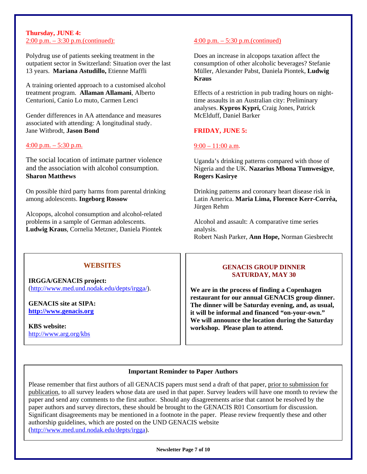#### **Thursday, JUNE 4:** 2:00 p.m. – 3:30 p.m.(continued):  $4:00$  p.m. – 5:30 p.m.(continued)

Polydrug use of patients seeking treatment in the outpatient sector in Switzerland: Situation over the last 13 years. **Mariana Astudillo,** Etienne Maffli

A training oriented approach to a customised alcohol treatment program. **Allaman Allamani**, Alberto Centurioni, Canio Lo muto, Carmen Lenci

Gender differences in AA attendance and measures McElduff, Daniel Barker associated with attending: A longitudinal study. Jane Witbrodt, **Jason Bond FRIDAY, JUNE 5:**

#### $\frac{4:00 \text{ p.m.} - 5:30 \text{ p.m.}}{9:00 - 11:00 \text{ a.m.}}$

The social location of intimate partner violence and the association with alcohol consumption. **Sharon Matthews Rogers Kasirye** 

On possible third party harms from parental drinking among adolescents. **Ingeborg Rossow** 

Alcopops, alcohol consumption and alcohol-related problems in a sample of German adolescents. **Ludwig Kraus**, Cornelia Metzner, Daniela Piontek

Does an increase in alcopops taxation affect the consumption of other alcoholic beverages? Stefanie Müller, Alexander Pabst, Daniela Piontek, **Ludwig Kraus** 

Effects of a restriction in pub trading hours on nighttime assaults in an Australian city: Preliminary analyses. **Kypros Kypri,** Craig Jones, Patrick

Uganda's drinking patterns compared with those of Nigeria and the UK. **Nazarius Mbona Tumwesigye**,

Drinking patterns and coronary heart disease risk in Latin America. **Maria Lima, Florence Kerr-Corrêa,**  Jürgen Rehm

Alcohol and assault: A comparative time series analysis. Robert Nash Parker, **Ann Hope,** Norman Giesbrecht

### **WEBSITES**

**IRGGA/GENACIS project:**  [\(http://www.med.und.nodak.edu/depts/irgga/\)](http://www.med.und.nodak.edu/depts/irgga/).

**GENACIS site at SIPA: [http://www.genacis.org](http://www.sfa-ispa.ch/genacis/intro.htm)**

**KBS website:**  <http://www.arg.org/kbs>

#### **GENACIS GROUP DINNER SATURDAY, MAY 30**

**We are in the process of finding a Copenhagen restaurant for our annual GENACIS group dinner. The dinner will be Saturday evening, and, as usual, it will be informal and financed "on-your-own." We will announce the location during the Saturday workshop. Please plan to attend.** 

#### **Important Reminder to Paper Authors**

Please remember that first authors of all GENACIS papers must send a draft of that paper, prior to submission for publication, to all survey leaders whose data are used in that paper. Survey leaders will have one month to review the paper and send any comments to the first author. Should any disagreements arise that cannot be resolved by the paper authors and survey directors, these should be brought to the GENACIS R01 Consortium for discussion. Significant disagreements may be mentioned in a footnote in the paper. Please review frequently these and other authorship guidelines, which are posted on the UND GENACIS website [\(http://www.med.und.nodak.edu/depts/irgga\)](http://www.med.und.nodak.edu/depts/irgga).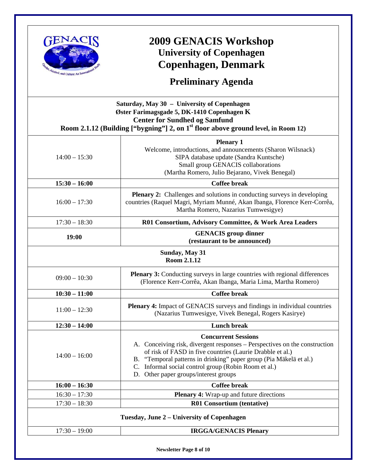

# **2009 GENACIS Workshop University of Copenhagen Copenhagen, Denmark**

**Preliminary Agenda** 

|                 | Saturday, May 30 - University of Copenhagen<br>Øster Farimagsgade 5, DK-1410 Copenhagen K<br><b>Center for Sundhed og Samfund</b><br>Room 2.1.12 (Building ["bygning"] 2, on $1st$ floor above ground level, in Room 12)                                                                                                                     |  |
|-----------------|----------------------------------------------------------------------------------------------------------------------------------------------------------------------------------------------------------------------------------------------------------------------------------------------------------------------------------------------|--|
| $14:00 - 15:30$ | <b>Plenary 1</b><br>Welcome, introductions, and announcements (Sharon Wilsnack)<br>SIPA database update (Sandra Kuntsche)<br>Small group GENACIS collaborations<br>(Martha Romero, Julio Bejarano, Vivek Benegal)                                                                                                                            |  |
| $15:30 - 16:00$ | <b>Coffee break</b>                                                                                                                                                                                                                                                                                                                          |  |
| $16:00 - 17:30$ | <b>Plenary 2:</b> Challenges and solutions in conducting surveys in developing<br>countries (Raquel Magri, Myriam Munné, Akan Ibanga, Florence Kerr-Corrêa,<br>Martha Romero, Nazarius Tumwesigye)                                                                                                                                           |  |
| $17:30 - 18:30$ | R01 Consortium, Advisory Committee, & Work Area Leaders                                                                                                                                                                                                                                                                                      |  |
| 19:00           | <b>GENACIS</b> group dinner<br>(restaurant to be announced)                                                                                                                                                                                                                                                                                  |  |
|                 | <b>Sunday, May 31</b><br>Room 2.1.12                                                                                                                                                                                                                                                                                                         |  |
| $09:00 - 10:30$ | <b>Plenary 3:</b> Conducting surveys in large countries with regional differences<br>(Florence Kerr-Corrêa, Akan Ibanga, Maria Lima, Martha Romero)                                                                                                                                                                                          |  |
| $10:30 - 11:00$ | <b>Coffee break</b>                                                                                                                                                                                                                                                                                                                          |  |
| $11:00 - 12:30$ | <b>Plenary 4:</b> Impact of GENACIS surveys and findings in individual countries<br>(Nazarius Tumwesigye, Vivek Benegal, Rogers Kasirye)                                                                                                                                                                                                     |  |
| $12:30 - 14:00$ | <b>Lunch break</b>                                                                                                                                                                                                                                                                                                                           |  |
| $14:00 - 16:00$ | <b>Concurrent Sessions</b><br>A. Conceiving risk, divergent responses – Perspectives on the construction<br>of risk of FASD in five countries (Laurie Drabble et al.)<br>B. "Temporal patterns in drinking" paper group (Pia Mäkelä et al.)<br>C. Informal social control group (Robin Room et al.)<br>D. Other paper groups/interest groups |  |
| $16:00 - 16:30$ | <b>Coffee break</b>                                                                                                                                                                                                                                                                                                                          |  |
| $16:30 - 17:30$ | <b>Plenary 4:</b> Wrap-up and future directions                                                                                                                                                                                                                                                                                              |  |
| $17:30 - 18:30$ | R01 Consortium (tentative)                                                                                                                                                                                                                                                                                                                   |  |
|                 | Tuesday, June 2 – University of Copenhagen                                                                                                                                                                                                                                                                                                   |  |
| $17:30 - 19:00$ | <b>IRGGA/GENACIS Plenary</b>                                                                                                                                                                                                                                                                                                                 |  |

**Newsletter Page 8 of 10**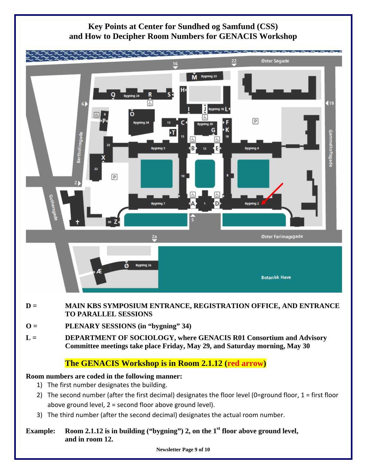

# **Key Points at Center for Sundhed og Samfund (CSS) and How to Decipher Room Numbers for GENACIS Workshop**

- **D = MAIN KBS SYMPOSIUM ENTRANCE, REGISTRATION OFFICE, AND ENTRANCE TO PARALLEL SESSIONS**
- **O = PLENARY SESSIONS (in "bygning" 34)**
- **L = DEPARTMENT OF SOCIOLOGY, where GENACIS R01 Consortium and Advisory Committee meetings take place Friday, May 29, and Saturday morning, May 30**

# **The GENACIS Workshop is in Room 2.1.12 (red arrow)**

# **Room numbers are coded in the following manner:**

- 1) The first number designates the building.
- 2) The second number (after the first decimal) designates the floor level (0=ground floor, 1 = first floor above ground level, 2 = second floor above ground level).
- 3) The third number (after the second decimal) designates the actual room number.

## Example: Room 2.1.12 is in building ("bygning") 2, on the 1<sup>st</sup> floor above ground level, **and in room 12.**

**Newsletter Page 9 of 10**